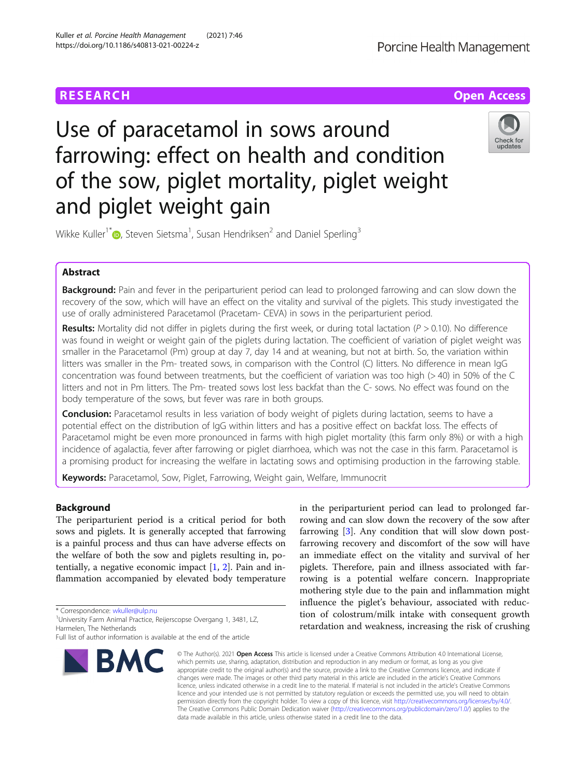

# Use of paracetamol in sows around farrowing: effect on health and condition of the sow, piglet mortality, piglet weight and piglet weight gain



Wikke Kuller<sup>1\*</sup> $\bullet$ [,](http://orcid.org/0000-0001-8460-786X) Steven Sietsma<sup>1</sup>, Susan Hendriksen<sup>2</sup> and Daniel Sperling<sup>3</sup>

# Abstract

**Background:** Pain and fever in the periparturient period can lead to prolonged farrowing and can slow down the recovery of the sow, which will have an effect on the vitality and survival of the piglets. This study investigated the use of orally administered Paracetamol (Pracetam- CEVA) in sows in the periparturient period.

Results: Mortality did not differ in piglets during the first week, or during total lactation  $(P > 0.10)$ . No difference was found in weight or weight gain of the piglets during lactation. The coefficient of variation of piglet weight was smaller in the Paracetamol (Pm) group at day 7, day 14 and at weaning, but not at birth. So, the variation within litters was smaller in the Pm- treated sows, in comparison with the Control (C) litters. No difference in mean IgG concentration was found between treatments, but the coefficient of variation was too high (> 40) in 50% of the C litters and not in Pm litters. The Pm- treated sows lost less backfat than the C- sows. No effect was found on the body temperature of the sows, but fever was rare in both groups.

**Conclusion:** Paracetamol results in less variation of body weight of piglets during lactation, seems to have a potential effect on the distribution of IgG within litters and has a positive effect on backfat loss. The effects of Paracetamol might be even more pronounced in farms with high piglet mortality (this farm only 8%) or with a high incidence of agalactia, fever after farrowing or piglet diarrhoea, which was not the case in this farm. Paracetamol is a promising product for increasing the welfare in lactating sows and optimising production in the farrowing stable.

Keywords: Paracetamol, Sow, Piglet, Farrowing, Weight gain, Welfare, Immunocrit

# Background

The periparturient period is a critical period for both sows and piglets. It is generally accepted that farrowing is a painful process and thus can have adverse effects on the welfare of both the sow and piglets resulting in, potentially, a negative economic impact [[1,](#page-7-0) [2](#page-7-0)]. Pain and inflammation accompanied by elevated body temperature

\* Correspondence: [wkuller@ulp.nu](mailto:wkuller@ulp.nu) <sup>1</sup>

<sup>1</sup>University Farm Animal Practice, Reijerscopse Overgang 1, 3481, LZ, Harmelen, The Netherlands

Full list of author information is available at the end of the article



in the periparturient period can lead to prolonged farrowing and can slow down the recovery of the sow after farrowing [\[3](#page-7-0)]. Any condition that will slow down postfarrowing recovery and discomfort of the sow will have an immediate effect on the vitality and survival of her piglets. Therefore, pain and illness associated with farrowing is a potential welfare concern. Inappropriate mothering style due to the pain and inflammation might influence the piglet's behaviour, associated with reduction of colostrum/milk intake with consequent growth retardation and weakness, increasing the risk of crushing

© The Author(s), 2021 **Open Access** This article is licensed under a Creative Commons Attribution 4.0 International License, which permits use, sharing, adaptation, distribution and reproduction in any medium or format, as long as you give appropriate credit to the original author(s) and the source, provide a link to the Creative Commons licence, and indicate if changes were made. The images or other third party material in this article are included in the article's Creative Commons licence, unless indicated otherwise in a credit line to the material. If material is not included in the article's Creative Commons licence and your intended use is not permitted by statutory regulation or exceeds the permitted use, you will need to obtain permission directly from the copyright holder. To view a copy of this licence, visit [http://creativecommons.org/licenses/by/4.0/.](http://creativecommons.org/licenses/by/4.0/) The Creative Commons Public Domain Dedication waiver [\(http://creativecommons.org/publicdomain/zero/1.0/](http://creativecommons.org/publicdomain/zero/1.0/)) applies to the data made available in this article, unless otherwise stated in a credit line to the data.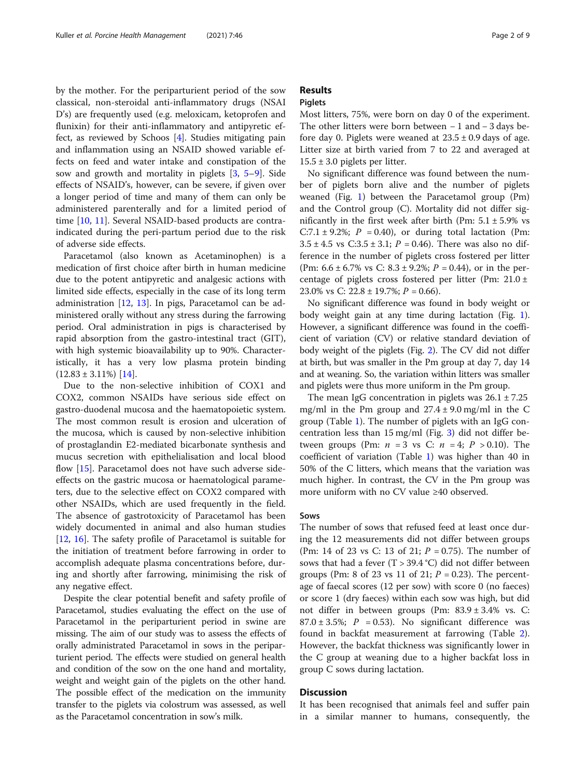by the mother. For the periparturient period of the sow classical, non-steroidal anti-inflammatory drugs (NSAI D's) are frequently used (e.g. meloxicam, ketoprofen and flunixin) for their anti-inflammatory and antipyretic effect, as reviewed by Schoos [[4\]](#page-7-0). Studies mitigating pain and inflammation using an NSAID showed variable effects on feed and water intake and constipation of the sow and growth and mortality in piglets [[3](#page-7-0), [5](#page-7-0)–[9\]](#page-7-0). Side effects of NSAID's, however, can be severe, if given over a longer period of time and many of them can only be administered parenterally and for a limited period of time [\[10](#page-7-0), [11](#page-7-0)]. Several NSAID-based products are contraindicated during the peri-partum period due to the risk of adverse side effects.

Paracetamol (also known as Acetaminophen) is a medication of first choice after birth in human medicine due to the potent antipyretic and analgesic actions with limited side effects, especially in the case of its long term administration [\[12](#page-7-0), [13\]](#page-7-0). In pigs, Paracetamol can be administered orally without any stress during the farrowing period. Oral administration in pigs is characterised by rapid absorption from the gastro-intestinal tract (GIT), with high systemic bioavailability up to 90%. Characteristically, it has a very low plasma protein binding  $(12.83 \pm 3.11\%)$  [\[14](#page-7-0)].

Due to the non-selective inhibition of COX1 and COX2, common NSAIDs have serious side effect on gastro-duodenal mucosa and the haematopoietic system. The most common result is erosion and ulceration of the mucosa, which is caused by non-selective inhibition of prostaglandin E2-mediated bicarbonate synthesis and mucus secretion with epithelialisation and local blood flow [[15\]](#page-7-0). Paracetamol does not have such adverse sideeffects on the gastric mucosa or haematological parameters, due to the selective effect on COX2 compared with other NSAIDs, which are used frequently in the field. The absence of gastrotoxicity of Paracetamol has been widely documented in animal and also human studies [[12,](#page-7-0) [16](#page-7-0)]. The safety profile of Paracetamol is suitable for the initiation of treatment before farrowing in order to accomplish adequate plasma concentrations before, during and shortly after farrowing, minimising the risk of any negative effect.

Despite the clear potential benefit and safety profile of Paracetamol, studies evaluating the effect on the use of Paracetamol in the periparturient period in swine are missing. The aim of our study was to assess the effects of orally administrated Paracetamol in sows in the periparturient period. The effects were studied on general health and condition of the sow on the one hand and mortality, weight and weight gain of the piglets on the other hand. The possible effect of the medication on the immunity transfer to the piglets via colostrum was assessed, as well as the Paracetamol concentration in sow's milk.

# Results

# Piglets

Most litters, 75%, were born on day 0 of the experiment. The other litters were born between − 1 and − 3 days before day 0. Piglets were weaned at  $23.5 \pm 0.9$  days of age. Litter size at birth varied from 7 to 22 and averaged at  $15.5 \pm 3.0$  piglets per litter.

No significant difference was found between the number of piglets born alive and the number of piglets weaned (Fig. [1](#page-2-0)) between the Paracetamol group (Pm) and the Control group (C). Mortality did not differ significantly in the first week after birth (Pm:  $5.1 \pm 5.9\%$  vs C:7.1  $\pm$  9.2%; P = 0.40), or during total lactation (Pm:  $3.5 \pm 4.5$  vs  $C:3.5 \pm 3.1$ ;  $P = 0.46$ ). There was also no difference in the number of piglets cross fostered per litter (Pm:  $6.6 \pm 6.7\%$  vs C:  $8.3 \pm 9.2\%$ ;  $P = 0.44$ ), or in the percentage of piglets cross fostered per litter (Pm: 21.0 ± 23.0% vs C:  $22.8 \pm 19.7$ %;  $P = 0.66$ ).

No significant difference was found in body weight or body weight gain at any time during lactation (Fig. [1](#page-2-0)). However, a significant difference was found in the coefficient of variation (CV) or relative standard deviation of body weight of the piglets (Fig. [2\)](#page-3-0). The CV did not differ at birth, but was smaller in the Pm group at day 7, day 14 and at weaning. So, the variation within litters was smaller and piglets were thus more uniform in the Pm group.

The mean IgG concentration in piglets was  $26.1 \pm 7.25$ mg/ml in the Pm group and  $27.4 \pm 9.0$  mg/ml in the C group (Table [1\)](#page-3-0). The number of piglets with an IgG concentration less than 15 mg/ml (Fig. [3](#page-4-0)) did not differ between groups (Pm:  $n = 3$  vs C:  $n = 4$ ;  $P > 0.10$ ). The coefficient of variation (Table [1\)](#page-3-0) was higher than 40 in 50% of the C litters, which means that the variation was much higher. In contrast, the CV in the Pm group was more uniform with no CV value ≥40 observed.

# Sows

The number of sows that refused feed at least once during the 12 measurements did not differ between groups (Pm: 14 of 23 vs C: 13 of 21;  $P = 0.75$ ). The number of sows that had a fever  $(T > 39.4 °C)$  did not differ between groups (Pm: 8 of 23 vs 11 of 21;  $P = 0.23$ ). The percentage of faecal scores (12 per sow) with score 0 (no faeces) or score 1 (dry faeces) within each sow was high, but did not differ in between groups (Pm: 83.9 ± 3.4% vs. C: 87.0  $\pm$  3.5%;  $P = 0.53$ ). No significant difference was found in backfat measurement at farrowing (Table [2](#page-4-0)). However, the backfat thickness was significantly lower in the C group at weaning due to a higher backfat loss in group C sows during lactation.

# **Discussion**

It has been recognised that animals feel and suffer pain in a similar manner to humans, consequently, the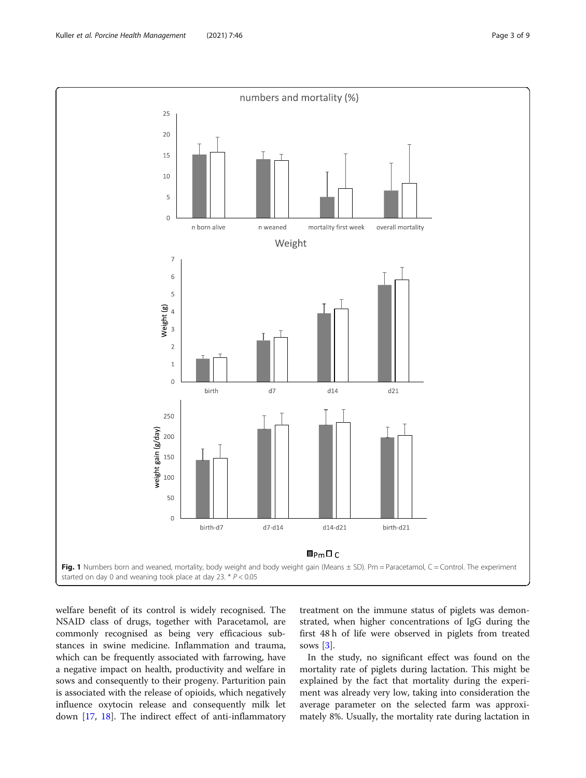welfare benefit of its control is widely recognised. The NSAID class of drugs, together with Paracetamol, are commonly recognised as being very efficacious substances in swine medicine. Inflammation and trauma, which can be frequently associated with farrowing, have a negative impact on health, productivity and welfare in sows and consequently to their progeny. Parturition pain is associated with the release of opioids, which negatively influence oxytocin release and consequently milk let down [[17](#page-7-0), [18\]](#page-7-0). The indirect effect of anti-inflammatory

treatment on the immune status of piglets was demonstrated, when higher concentrations of IgG during the first 48 h of life were observed in piglets from treated sows [\[3](#page-7-0)].

In the study, no significant effect was found on the mortality rate of piglets during lactation. This might be explained by the fact that mortality during the experiment was already very low, taking into consideration the average parameter on the selected farm was approximately 8%. Usually, the mortality rate during lactation in

<span id="page-2-0"></span>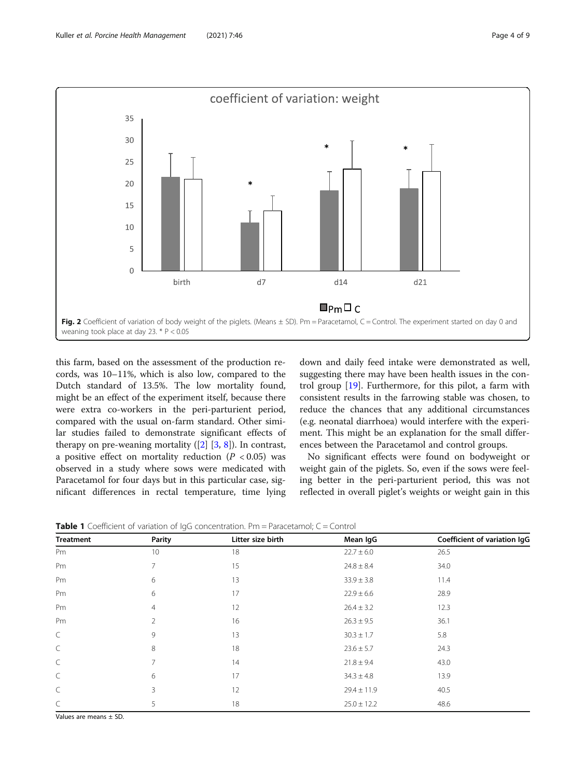<span id="page-3-0"></span>

this farm, based on the assessment of the production records, was 10–11%, which is also low, compared to the Dutch standard of 13.5%. The low mortality found, might be an effect of the experiment itself, because there were extra co-workers in the peri-parturient period, compared with the usual on-farm standard. Other similar studies failed to demonstrate significant effects of therapy on pre-weaning mortality  $([2] [3, 8])$  $([2] [3, 8])$  $([2] [3, 8])$  $([2] [3, 8])$  $([2] [3, 8])$  $([2] [3, 8])$  $([2] [3, 8])$ . In contrast, a positive effect on mortality reduction  $(P < 0.05)$  was observed in a study where sows were medicated with Paracetamol for four days but in this particular case, significant differences in rectal temperature, time lying

down and daily feed intake were demonstrated as well, suggesting there may have been health issues in the control group [\[19\]](#page-7-0). Furthermore, for this pilot, a farm with consistent results in the farrowing stable was chosen, to reduce the chances that any additional circumstances (e.g. neonatal diarrhoea) would interfere with the experiment. This might be an explanation for the small differences between the Paracetamol and control groups.

No significant effects were found on bodyweight or weight gain of the piglets. So, even if the sows were feeling better in the peri-parturient period, this was not reflected in overall piglet's weights or weight gain in this

**Table 1** Coefficient of variation of  $\log G$  concentration. Pm = Paracetamol;  $C =$  Control

| <b>Treatment</b> | Parity | Litter size birth | Mean IgG        | Coefficient of variation IgG |
|------------------|--------|-------------------|-----------------|------------------------------|
| Pm               | 10     | 18                | $22.7 \pm 6.0$  | 26.5                         |
| Pm               |        | 15                | $24.8 \pm 8.4$  | 34.0                         |
| Pm               | 6      | 13                | $33.9 \pm 3.8$  | 11.4                         |
| Pm               | 6      | 17                | $22.9 \pm 6.6$  | 28.9                         |
| Pm               | 4      | 12                | $26.4 \pm 3.2$  | 12.3                         |
| Pm               |        | 16                | $26.3 \pm 9.5$  | 36.1                         |
| C                | 9      | 13                | $30.3 \pm 1.7$  | 5.8                          |
| C                | 8      | 18                | $23.6 \pm 5.7$  | 24.3                         |
| C                |        | 14                | $21.8 \pm 9.4$  | 43.0                         |
| C                | 6      | 17                | $34.3 \pm 4.8$  | 13.9                         |
| C                | 3      | 12                | $29.4 \pm 11.9$ | 40.5                         |
| C                | 5      | 18                | $25.0 \pm 12.2$ | 48.6                         |

Values are means ± SD.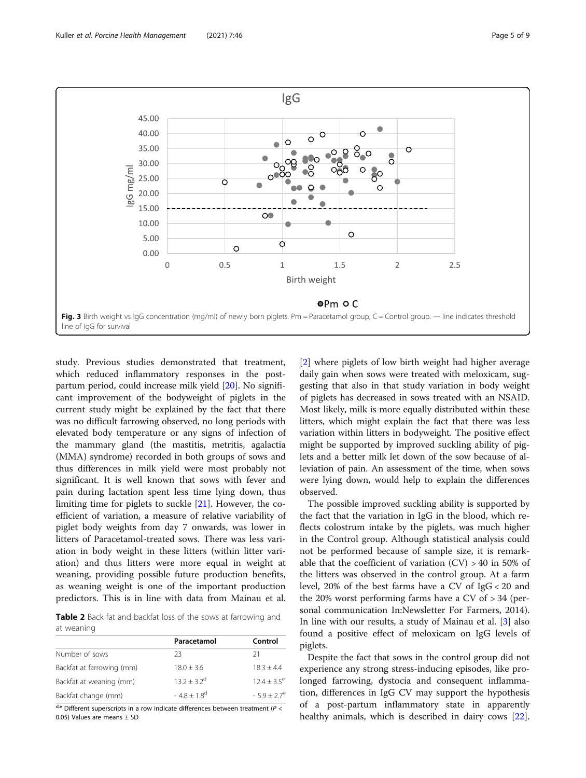<span id="page-4-0"></span>

study. Previous studies demonstrated that treatment, which reduced inflammatory responses in the postpartum period, could increase milk yield [[20\]](#page-8-0). No significant improvement of the bodyweight of piglets in the current study might be explained by the fact that there was no difficult farrowing observed, no long periods with elevated body temperature or any signs of infection of the mammary gland (the mastitis, metritis, agalactia (MMA) syndrome) recorded in both groups of sows and thus differences in milk yield were most probably not significant. It is well known that sows with fever and pain during lactation spent less time lying down, thus limiting time for piglets to suckle [\[21\]](#page-8-0). However, the coefficient of variation, a measure of relative variability of piglet body weights from day 7 onwards, was lower in litters of Paracetamol-treated sows. There was less variation in body weight in these litters (within litter variation) and thus litters were more equal in weight at weaning, providing possible future production benefits, as weaning weight is one of the important production predictors. This is in line with data from Mainau et al.

Table 2 Back fat and backfat loss of the sows at farrowing and at weaning

|                           | Paracetamol      | Control        |
|---------------------------|------------------|----------------|
| Number of sows            | フ3               | 21             |
| Backfat at farrowing (mm) | $18.0 \pm 3.6$   | $18.3 + 4.4$   |
| Backfat at weaning (mm)   | $13.2 + 3.2^d$   | $12.4 + 3.5^e$ |
| Backfat change (mm)       | $-4.8 + 1.8^{d}$ | $-5.9 + 2.7^e$ |

 $\frac{d,e}{dt}$  Different superscripts in a row indicate differences between treatment (P < 0.05) Values are means ± SD

[[2\]](#page-7-0) where piglets of low birth weight had higher average daily gain when sows were treated with meloxicam, suggesting that also in that study variation in body weight of piglets has decreased in sows treated with an NSAID. Most likely, milk is more equally distributed within these litters, which might explain the fact that there was less variation within litters in bodyweight. The positive effect might be supported by improved suckling ability of piglets and a better milk let down of the sow because of alleviation of pain. An assessment of the time, when sows were lying down, would help to explain the differences observed.

The possible improved suckling ability is supported by the fact that the variation in IgG in the blood, which reflects colostrum intake by the piglets, was much higher in the Control group. Although statistical analysis could not be performed because of sample size, it is remarkable that the coefficient of variation  $(CV) > 40$  in 50% of the litters was observed in the control group. At a farm level, 20% of the best farms have a CV of IgG < 20 and the 20% worst performing farms have a CV of > 34 (personal communication In:Newsletter For Farmers, 2014). In line with our results, a study of Mainau et al. [\[3](#page-7-0)] also found a positive effect of meloxicam on IgG levels of piglets.

Despite the fact that sows in the control group did not experience any strong stress-inducing episodes, like prolonged farrowing, dystocia and consequent inflammation, differences in IgG CV may support the hypothesis of a post-partum inflammatory state in apparently healthy animals, which is described in dairy cows [\[22](#page-8-0)].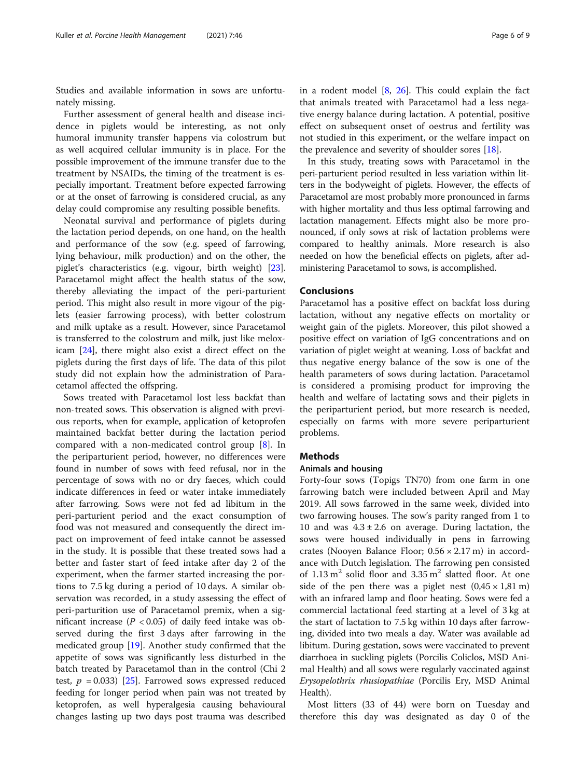Studies and available information in sows are unfortunately missing.

Further assessment of general health and disease incidence in piglets would be interesting, as not only humoral immunity transfer happens via colostrum but as well acquired cellular immunity is in place. For the possible improvement of the immune transfer due to the treatment by NSAIDs, the timing of the treatment is especially important. Treatment before expected farrowing or at the onset of farrowing is considered crucial, as any delay could compromise any resulting possible benefits.

Neonatal survival and performance of piglets during the lactation period depends, on one hand, on the health and performance of the sow (e.g. speed of farrowing, lying behaviour, milk production) and on the other, the piglet's characteristics (e.g. vigour, birth weight) [\[23](#page-8-0)]. Paracetamol might affect the health status of the sow, thereby alleviating the impact of the peri-parturient period. This might also result in more vigour of the piglets (easier farrowing process), with better colostrum and milk uptake as a result. However, since Paracetamol is transferred to the colostrum and milk, just like meloxicam [[24\]](#page-8-0), there might also exist a direct effect on the piglets during the first days of life. The data of this pilot study did not explain how the administration of Paracetamol affected the offspring.

Sows treated with Paracetamol lost less backfat than non-treated sows. This observation is aligned with previous reports, when for example, application of ketoprofen maintained backfat better during the lactation period compared with a non-medicated control group [[8\]](#page-7-0). In the periparturient period, however, no differences were found in number of sows with feed refusal, nor in the percentage of sows with no or dry faeces, which could indicate differences in feed or water intake immediately after farrowing. Sows were not fed ad libitum in the peri-parturient period and the exact consumption of food was not measured and consequently the direct impact on improvement of feed intake cannot be assessed in the study. It is possible that these treated sows had a better and faster start of feed intake after day 2 of the experiment, when the farmer started increasing the portions to 7.5 kg during a period of 10 days. A similar observation was recorded, in a study assessing the effect of peri-parturition use of Paracetamol premix, when a significant increase ( $P < 0.05$ ) of daily feed intake was observed during the first 3 days after farrowing in the medicated group [\[19](#page-7-0)]. Another study confirmed that the appetite of sows was significantly less disturbed in the batch treated by Paracetamol than in the control (Chi 2 test,  $p = 0.033$  [[25](#page-8-0)]. Farrowed sows expressed reduced feeding for longer period when pain was not treated by ketoprofen, as well hyperalgesia causing behavioural changes lasting up two days post trauma was described

in a rodent model [\[8,](#page-7-0) [26](#page-8-0)]. This could explain the fact that animals treated with Paracetamol had a less negative energy balance during lactation. A potential, positive effect on subsequent onset of oestrus and fertility was not studied in this experiment, or the welfare impact on the prevalence and severity of shoulder sores [[18\]](#page-7-0).

In this study, treating sows with Paracetamol in the peri-parturient period resulted in less variation within litters in the bodyweight of piglets. However, the effects of Paracetamol are most probably more pronounced in farms with higher mortality and thus less optimal farrowing and lactation management. Effects might also be more pronounced, if only sows at risk of lactation problems were compared to healthy animals. More research is also needed on how the beneficial effects on piglets, after administering Paracetamol to sows, is accomplished.

# Conclusions

Paracetamol has a positive effect on backfat loss during lactation, without any negative effects on mortality or weight gain of the piglets. Moreover, this pilot showed a positive effect on variation of IgG concentrations and on variation of piglet weight at weaning. Loss of backfat and thus negative energy balance of the sow is one of the health parameters of sows during lactation. Paracetamol is considered a promising product for improving the health and welfare of lactating sows and their piglets in the periparturient period, but more research is needed, especially on farms with more severe periparturient problems.

# **Methods**

# Animals and housing

Forty-four sows (Topigs TN70) from one farm in one farrowing batch were included between April and May 2019. All sows farrowed in the same week, divided into two farrowing houses. The sow's parity ranged from 1 to 10 and was  $4.3 \pm 2.6$  on average. During lactation, the sows were housed individually in pens in farrowing crates (Nooyen Balance Floor; 0.56 × 2.17 m) in accordance with Dutch legislation. The farrowing pen consisted of  $1.13 \text{ m}^2$  solid floor and  $3.35 \text{ m}^2$  slatted floor. At one side of the pen there was a piglet nest  $(0.45 \times 1.81 \text{ m})$ with an infrared lamp and floor heating. Sows were fed a commercial lactational feed starting at a level of 3 kg at the start of lactation to 7.5 kg within 10 days after farrowing, divided into two meals a day. Water was available ad libitum. During gestation, sows were vaccinated to prevent diarrhoea in suckling piglets (Porcilis Coliclos, MSD Animal Health) and all sows were regularly vaccinated against Erysopelothrix rhusiopathiae (Porcilis Ery, MSD Animal Health).

Most litters (33 of 44) were born on Tuesday and therefore this day was designated as day 0 of the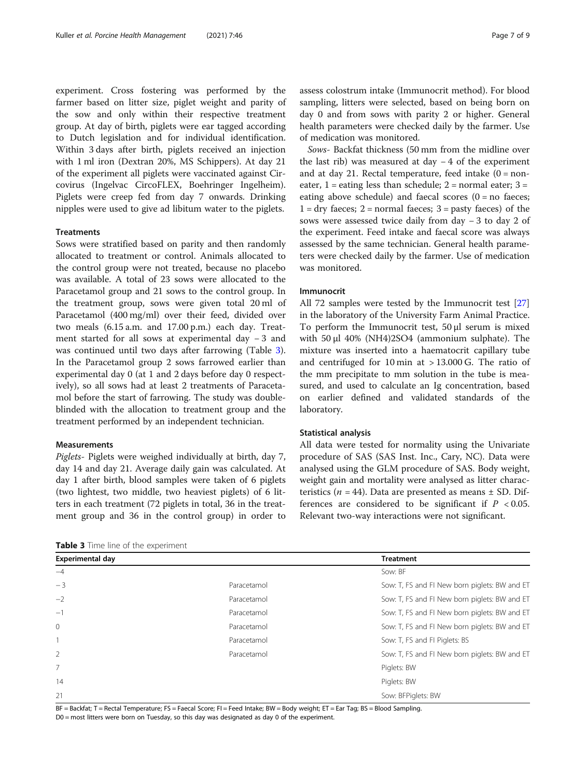experiment. Cross fostering was performed by the farmer based on litter size, piglet weight and parity of the sow and only within their respective treatment group. At day of birth, piglets were ear tagged according to Dutch legislation and for individual identification. Within 3 days after birth, piglets received an injection with 1 ml iron (Dextran 20%, MS Schippers). At day 21 of the experiment all piglets were vaccinated against Circovirus (Ingelvac CircoFLEX, Boehringer Ingelheim). Piglets were creep fed from day 7 onwards. Drinking nipples were used to give ad libitum water to the piglets.

### **Treatments**

Sows were stratified based on parity and then randomly allocated to treatment or control. Animals allocated to the control group were not treated, because no placebo was available. A total of 23 sows were allocated to the Paracetamol group and 21 sows to the control group. In the treatment group, sows were given total 20 ml of Paracetamol (400 mg/ml) over their feed, divided over two meals (6.15 a.m. and 17.00 p.m.) each day. Treatment started for all sows at experimental day − 3 and was continued until two days after farrowing (Table 3). In the Paracetamol group 2 sows farrowed earlier than experimental day 0 (at 1 and 2 days before day 0 respectively), so all sows had at least 2 treatments of Paracetamol before the start of farrowing. The study was doubleblinded with the allocation to treatment group and the treatment performed by an independent technician.

# Measurements

Piglets- Piglets were weighed individually at birth, day 7, day 14 and day 21. Average daily gain was calculated. At day 1 after birth, blood samples were taken of 6 piglets (two lightest, two middle, two heaviest piglets) of 6 litters in each treatment (72 piglets in total, 36 in the treatment group and 36 in the control group) in order to

Table 3 Time line of the experiment

assess colostrum intake (Immunocrit method). For blood sampling, litters were selected, based on being born on day 0 and from sows with parity 2 or higher. General health parameters were checked daily by the farmer. Use of medication was monitored.

Sows- Backfat thickness (50 mm from the midline over the last rib) was measured at day − 4 of the experiment and at day 21. Rectal temperature, feed intake  $(0 = non$ eater,  $1 =$  eating less than schedule;  $2 =$  normal eater;  $3 =$ eating above schedule) and faecal scores  $(0 = no$  faeces;  $1 =$  dry faeces;  $2 =$  normal faeces;  $3 =$  pasty faeces) of the sows were assessed twice daily from day − 3 to day 2 of the experiment. Feed intake and faecal score was always assessed by the same technician. General health parameters were checked daily by the farmer. Use of medication was monitored.

# Immunocrit

All 72 samples were tested by the Immunocrit test [[27](#page-8-0)] in the laboratory of the University Farm Animal Practice. To perform the Immunocrit test, 50 μl serum is mixed with 50 μl 40% (NH4)2SO4 (ammonium sulphate). The mixture was inserted into a haematocrit capillary tube and centrifuged for 10 min at  $> 13.000$  G. The ratio of the mm precipitate to mm solution in the tube is measured, and used to calculate an Ig concentration, based on earlier defined and validated standards of the laboratory.

### Statistical analysis

All data were tested for normality using the Univariate procedure of SAS (SAS Inst. Inc., Cary, NC). Data were analysed using the GLM procedure of SAS. Body weight, weight gain and mortality were analysed as litter characteristics ( $n = 44$ ). Data are presented as means  $\pm$  SD. Differences are considered to be significant if  $P < 0.05$ . Relevant two-way interactions were not significant.

| <b>Table 3</b> THE THIR OF LIRE EXPERIMENT. |             |                                               |  |  |
|---------------------------------------------|-------------|-----------------------------------------------|--|--|
| <b>Experimental day</b>                     |             | <b>Treatment</b>                              |  |  |
| $-4$                                        |             | Sow: BF                                       |  |  |
| $-3$                                        | Paracetamol | Sow: T, FS and FI New born piglets: BW and ET |  |  |
| $-2$                                        | Paracetamol | Sow: T, FS and FI New born piglets: BW and ET |  |  |
| $-1$                                        | Paracetamol | Sow: T, FS and FI New born piglets: BW and ET |  |  |
| $\mathbf{0}$                                | Paracetamol | Sow: T, FS and FI New born piglets: BW and ET |  |  |
|                                             | Paracetamol | Sow: T, FS and FI Piglets: BS                 |  |  |
| 2                                           | Paracetamol | Sow: T, FS and FI New born piglets: BW and ET |  |  |
| $\overline{7}$                              |             | Piglets: BW                                   |  |  |
| 14                                          |             | Piglets: BW                                   |  |  |
| 21                                          |             | Sow: BFPiglets: BW                            |  |  |

BF = Backfat; T = Rectal Temperature; FS = Faecal Score; FI = Feed Intake; BW = Body weight; ET = Ear Tag; BS = Blood Sampling.

D0 = most litters were born on Tuesday, so this day was designated as day 0 of the experiment.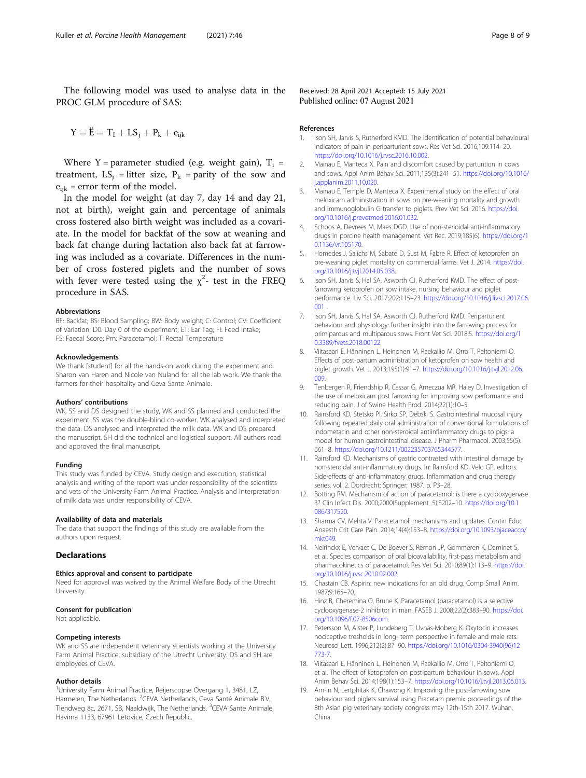<span id="page-7-0"></span>The following model was used to analyse data in the PROC GLM procedure of SAS:

 $Y = \ddot{E} = T_1 + LS_1 + P_k + e_{ijk}$ 

Where Y = parameter studied (e.g. weight gain),  $T_i$  = treatment,  $LS_j$  = litter size,  $P_k$  = parity of the sow and  $e_{ijk}$  = error term of the model.

In the model for weight (at day 7, day 14 and day 21, not at birth), weight gain and percentage of animals cross fostered also birth weight was included as a covariate. In the model for backfat of the sow at weaning and back fat change during lactation also back fat at farrowing was included as a covariate. Differences in the number of cross fostered piglets and the number of sows with fever were tested using the  $\chi^2$ - test in the FREQ procedure in SAS.

#### Abbreviations

BF: Backfat; BS: Blood Sampling; BW: Body weight; C: Control; CV: Coefficient of Variation; D0: Day 0 of the experiment; ET: Ear Tag; FI: Feed Intake; FS: Faecal Score; Pm: Paracetamol; T: Rectal Temperature

#### Acknowledgements

We thank [student] for all the hands-on work during the experiment and Sharon van Haren and Nicole van Nuland for all the lab work. We thank the farmers for their hospitality and Ceva Sante Animale.

#### Authors' contributions

WK, SS and DS designed the study, WK and SS planned and conducted the experiment. SS was the double-blind co-worker. WK analysed and interpreted the data. DS analysed and interpreted the milk data. WK and DS prepared the manuscript. SH did the technical and logistical support. All authors read and approved the final manuscript.

#### Funding

This study was funded by CEVA. Study design and execution, statistical analysis and writing of the report was under responsibility of the scientists and vets of the University Farm Animal Practice. Analysis and interpretation of milk data was under responsibility of CEVA.

#### Availability of data and materials

The data that support the findings of this study are available from the authors upon request.

#### **Declarations**

#### Ethics approval and consent to participate

Need for approval was waived by the Animal Welfare Body of the Utrecht University.

#### Consent for publication

Not applicable.

#### Competing interests

WK and SS are independent veterinary scientists working at the University Farm Animal Practice, subsidiary of the Utrecht University. DS and SH are employees of CEVA.

#### Author details

<sup>1</sup>University Farm Animal Practice, Reijerscopse Overgang 1, 3481, LZ, Harmelen, The Netherlands. <sup>2</sup>CEVA Netherlands, Ceva Santé Animale B.V, Tiendweg 8c, 2671, SB, Naaldwijk, The Netherlands. <sup>3</sup>CEVA Sante Animale, Havirna 1133, 67961 Letovice, Czech Republic.

Received: 28 April 2021 Accepted: 15 July 2021 Published online: 07 August 2021

#### References

- 1. Ison SH, Jarvis S, Rutherford KMD. The identification of potential behavioural indicators of pain in periparturient sows. Res Vet Sci. 2016;109:114–20. [https://doi.org/10.1016/j.rvsc.2016.10.002.](https://doi.org/10.1016/j.rvsc.2016.10.002)
- 2. Mainau E, Manteca X. Pain and discomfort caused by parturition in cows and sows. Appl Anim Behav Sci. 2011;135(3):241–51. [https://doi.org/10.1016/](https://doi.org/10.1016/j.applanim.2011.10.020) [j.applanim.2011.10.020](https://doi.org/10.1016/j.applanim.2011.10.020).
- Mainau E, Temple D, Manteca X. Experimental study on the effect of oral meloxicam administration in sows on pre-weaning mortality and growth and immunoglobulin G transfer to piglets. Prev Vet Sci. 2016. [https://doi.](https://doi.org/10.1016/j.prevetmed.2016.01.032) [org/10.1016/j.prevetmed.2016.01.032](https://doi.org/10.1016/j.prevetmed.2016.01.032).
- 4. Schoos A, Devrees M, Maes DGD. Use of non-sterioidal anti-inflammatory drugs in porcine health management. Vet Rec. 2019;185(6). [https://doi.org/1](https://doi.org/10.1136/vr.105170) [0.1136/vr.105170](https://doi.org/10.1136/vr.105170).
- 5. Homedes J, Salichs M, Sabaté D, Sust M, Fabre R. Effect of ketoprofen on pre-weaning piglet mortality on commercial farms. Vet J. 2014. [https://doi.](https://doi.org/10.1016/j.tvjl.2014.05.038) [org/10.1016/j.tvjl.2014.05.038](https://doi.org/10.1016/j.tvjl.2014.05.038).
- 6. Ison SH, Jarvis S, Hal SA, Asworth CJ, Rutherford KMD. The effect of postfarrowing ketoprofen on sow intake, nursing behaviour and piglet performance. Liv Sci. 2017;202:115–23. [https://doi.org/10.1016/j.livsci.2017.06.](https://doi.org/10.1016/j.livsci.2017.06.001) [001](https://doi.org/10.1016/j.livsci.2017.06.001) .
- 7. Ison SH, Jarvis S, Hal SA, Asworth CJ, Rutherford KMD. Periparturient behaviour and physiology: further insight into the farrowing process for primiparous and multiparous sows. Front Vet Sci. 2018;5. [https://doi.org/1](https://doi.org/10.3389/fvets.2018.00122) [0.3389/fvets.2018.00122.](https://doi.org/10.3389/fvets.2018.00122)
- 8. Viitasaari E, Hänninen L, Heinonen M, Raekallio M, Orro T, Peltoniemi O. Effects of post-partum administration of ketoprofen on sow health and piglet growth. Vet J. 2013;195(1):91–7. [https://doi.org/10.1016/j.tvjl.2012.06.](https://doi.org/10.1016/j.tvjl.2012.06.009) [009.](https://doi.org/10.1016/j.tvjl.2012.06.009)
- 9. Tenbergen R, Friendship R, Cassar G, Ameczua MR, Haley D. Investigation of the use of meloxicam post farrowing for improving sow performance and reducing pain. J of Swine Health Prod. 2014;22(1):10–5.
- 10. Rainsford KD, Stetsko PI, Sirko SP, Debski S. Gastrointestinal mucosal injury following repeated daily oral administration of conventional formulations of indometacin and other non-steroidal antiinflammatory drugs to pigs: a model for human gastrointestinal disease. J Pharm Pharmacol. 2003;55(5): 661–8. [https://doi.org/10.1211/002235703765344577.](https://doi.org/10.1211/002235703765344577)
- 11. Rainsford KD. Mechanisms of gastric contrasted with intestinal damage by non-steroidal anti-inflammatory drugs. In: Rainsford KD, Velo GP, editors. Side-effects of anti-inflammatory drugs. Inflammation and drug therapy series, vol. 2. Dordrecht: Springer; 1987. p. P3–28.
- 12. Botting RM. Mechanism of action of paracetamol: is there a cyclooxygenase 3? Clin Infect Dis. 2000;2000(Supplement\_5):S202–10. [https://doi.org/10.1](https://doi.org/10.1086/317520) [086/317520.](https://doi.org/10.1086/317520)
- 13. Sharma CV, Mehta V. Paracetamol: mechanisms and updates. Contin Educ Anaesth Crit Care Pain. 2014;14(4):153–8. [https://doi.org/10.1093/bjaceaccp/](https://doi.org/10.1093/bjaceaccp/mkt049) mkt049
- 14. Neirinckx E, Vervaet C, De Boever S, Remon JP, Gommeren K, Daminet S, et al. Species comparison of oral bioavailability, first-pass metabolism and pharmacokinetics of paracetamol. Res Vet Sci. 2010;89(1):113–9. [https://doi.](https://doi.org/10.1016/j.rvsc.2010.02.002) [org/10.1016/j.rvsc.2010.02.002.](https://doi.org/10.1016/j.rvsc.2010.02.002)
- 15. Chastain CB. Aspirin: new indications for an old drug. Comp Small Anim. 1987;9:165–70.
- 16. Hinz B, Cheremina O, Brune K. Paracetamol (paracetamol) is a selective cyclooxygenase-2 inhibitor in man. FASEB J. 2008;22(2):383–90. [https://doi.](https://doi.org/10.1096/f.07-8506com) [org/10.1096/f.07-8506com](https://doi.org/10.1096/f.07-8506com).
- 17. Petersson M, Alster P, Lundeberg T, Uvnäs-Moberg K. Oxytocin increases nociceptive tresholds in long- term perspective in female and male rats. Neurosci Lett. 1996;212(2):87–90. [https://doi.org/10.1016/0304-3940\(96\)12](https://doi.org/10.1016/0304-3940(96)12773-7) [773-7](https://doi.org/10.1016/0304-3940(96)12773-7).
- 18. Viitasaari E, Hänninen L, Heinonen M, Raekallio M, Orro T, Peltoniemi O, et al. The effect of ketoprofen on post-partum behaviour in sows. Appl Anim Behav Sci. 2014;198(1):153–7. [https://doi.org/10.1016/j.tvjl.2013.06.013.](https://doi.org/10.1016/j.tvjl.2013.06.013)
- 19. Am-in N, Lertphitak K, Chawong K. Improving the post-farrowing sow behaviour and piglets survival using Pracetam premix proceedings of the 8th Asian pig veterinary society congress may 12th-15th 2017. Wuhan, China.